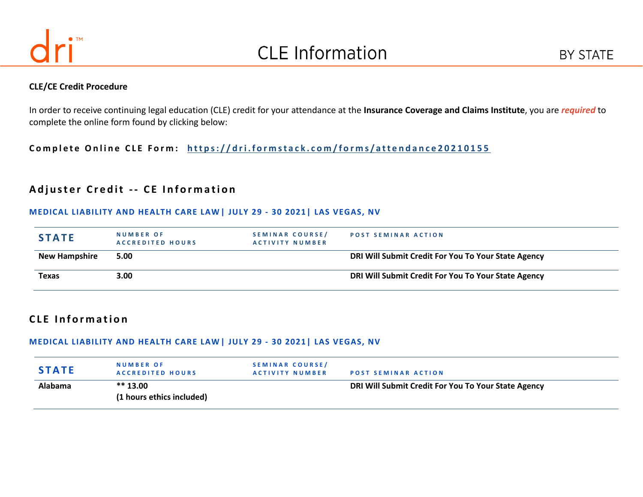

#### **CLE/CE Credit Procedure**

In order to receive continuing legal education (CLE) credit for your attendance at the **Insurance Coverage and Claims Institute**, you are *required* to complete the online form found by clicking below:

Complete Online CLE Form: https://dri.formstack.com/forms/attendance20210155

# **Adjuster Credit -- CE Information**

#### **MEDICAL LIABILITY AND HEALTH CARE LAW| JULY 29 - 30 2021| LAS VEGAS, NV**

| <b>STATE</b>         | <b>NUMBER OF</b><br><b>ACCREDITED HOURS</b> | <b>SEMINAR COURSE/</b><br>ACTIVITY NUMBER | <b>POST SEMINAR ACTION</b>                          |
|----------------------|---------------------------------------------|-------------------------------------------|-----------------------------------------------------|
| <b>New Hampshire</b> | 5.00                                        |                                           | DRI Will Submit Credit For You To Your State Agency |
| <b>Texas</b>         | 3.00                                        |                                           | DRI Will Submit Credit For You To Your State Agency |

## **CLE Information**

#### **MEDICAL LIABILITY AND HEALTH CARE LAW| JULY 29 - 30 2021| LAS VEGAS, NV**

| <b>STATE</b> | <b>NUMBER OF</b><br><b>ACCREDITED HOURS</b> | <b>SEMINAR COURSE/</b><br><b>ACTIVITY NUMBER</b> | <b>POST SEMINAR ACTION</b>                          |
|--------------|---------------------------------------------|--------------------------------------------------|-----------------------------------------------------|
| Alabama      | $** 13.00$<br>(1 hours ethics included)     |                                                  | DRI Will Submit Credit For You To Your State Agency |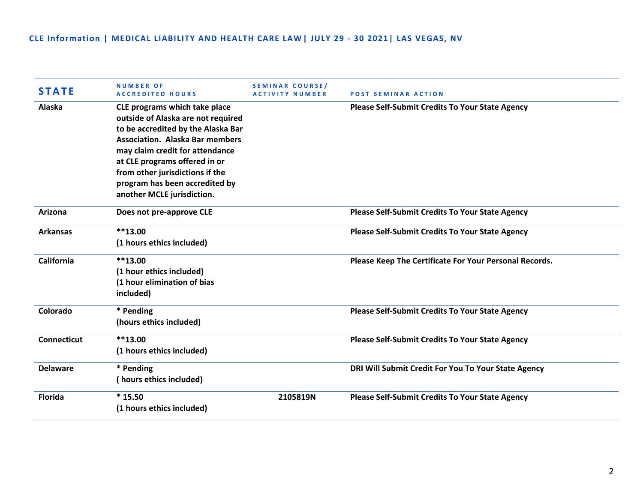| <b>STATE</b>       | <b>NUMBER OF</b><br><b>ACCREDITED HOURS</b>                                                                                                                                                                                                                                                                                | SEMINAR COURSE/<br><b>ACTIVITY NUMBER</b> | <b>POST SEMINAR ACTION</b>                             |
|--------------------|----------------------------------------------------------------------------------------------------------------------------------------------------------------------------------------------------------------------------------------------------------------------------------------------------------------------------|-------------------------------------------|--------------------------------------------------------|
| Alaska             | CLE programs which take place<br>outside of Alaska are not required<br>to be accredited by the Alaska Bar<br><b>Association. Alaska Bar members</b><br>may claim credit for attendance<br>at CLE programs offered in or<br>from other jurisdictions if the<br>program has been accredited by<br>another MCLE jurisdiction. |                                           | <b>Please Self-Submit Credits To Your State Agency</b> |
| Arizona            | Does not pre-approve CLE                                                                                                                                                                                                                                                                                                   |                                           | <b>Please Self-Submit Credits To Your State Agency</b> |
| <b>Arkansas</b>    | $***13.00$<br>(1 hours ethics included)                                                                                                                                                                                                                                                                                    |                                           | <b>Please Self-Submit Credits To Your State Agency</b> |
| California         | $***13.00$<br>(1 hour ethics included)<br>(1 hour elimination of bias<br>included)                                                                                                                                                                                                                                         |                                           | Please Keep The Certificate For Your Personal Records. |
| Colorado           | * Pending<br>(hours ethics included)                                                                                                                                                                                                                                                                                       |                                           | <b>Please Self-Submit Credits To Your State Agency</b> |
| <b>Connecticut</b> | $***13.00$<br>(1 hours ethics included)                                                                                                                                                                                                                                                                                    |                                           | <b>Please Self-Submit Credits To Your State Agency</b> |
| <b>Delaware</b>    | * Pending<br>(hours ethics included)                                                                                                                                                                                                                                                                                       |                                           | DRI Will Submit Credit For You To Your State Agency    |
| <b>Florida</b>     | $*15.50$<br>(1 hours ethics included)                                                                                                                                                                                                                                                                                      | 2105819N                                  | <b>Please Self-Submit Credits To Your State Agency</b> |

,我们也不能在这里的时候,我们也不能在这里的时候,我们也不能会在这里的时候,我们也不能会在这里的时候,我们也不能会在这里的时候,我们也不能会在这里的时候,我们也不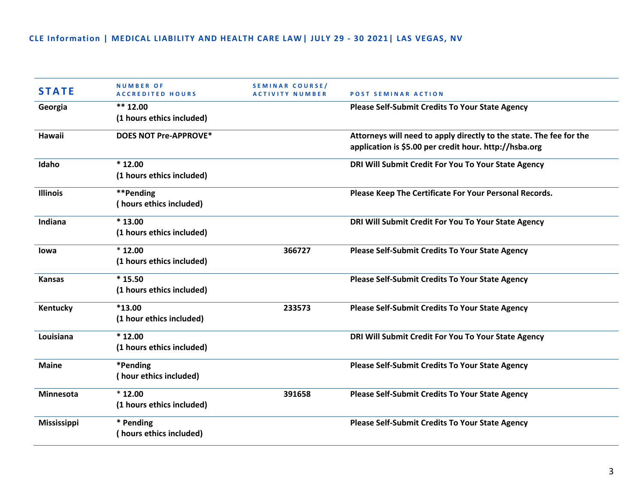| <b>STATE</b>       | <b>NUMBER OF</b><br><b>ACCREDITED HOURS</b> | SEMINAR COURSE/<br><b>ACTIVITY NUMBER</b> | <b>POST SEMINAR ACTION</b>                                                                                                    |
|--------------------|---------------------------------------------|-------------------------------------------|-------------------------------------------------------------------------------------------------------------------------------|
| Georgia            | $** 12.00$<br>(1 hours ethics included)     |                                           | <b>Please Self-Submit Credits To Your State Agency</b>                                                                        |
| Hawaii             | <b>DOES NOT Pre-APPROVE*</b>                |                                           | Attorneys will need to apply directly to the state. The fee for the<br>application is \$5.00 per credit hour. http://hsba.org |
| Idaho              | $*12.00$<br>(1 hours ethics included)       |                                           | DRI Will Submit Credit For You To Your State Agency                                                                           |
| <b>Illinois</b>    | **Pending<br>(hours ethics included)        |                                           | Please Keep The Certificate For Your Personal Records.                                                                        |
| Indiana            | $*13.00$<br>(1 hours ethics included)       |                                           | DRI Will Submit Credit For You To Your State Agency                                                                           |
| lowa               | $*12.00$<br>(1 hours ethics included)       | 366727                                    | <b>Please Self-Submit Credits To Your State Agency</b>                                                                        |
| <b>Kansas</b>      | $*15.50$<br>(1 hours ethics included)       |                                           | <b>Please Self-Submit Credits To Your State Agency</b>                                                                        |
| Kentucky           | $*13.00$<br>(1 hour ethics included)        | 233573                                    | <b>Please Self-Submit Credits To Your State Agency</b>                                                                        |
| Louisiana          | $*12.00$<br>(1 hours ethics included)       |                                           | DRI Will Submit Credit For You To Your State Agency                                                                           |
| <b>Maine</b>       | *Pending<br>(hour ethics included)          |                                           | <b>Please Self-Submit Credits To Your State Agency</b>                                                                        |
| <b>Minnesota</b>   | $*12.00$<br>(1 hours ethics included)       | 391658                                    | <b>Please Self-Submit Credits To Your State Agency</b>                                                                        |
| <b>Mississippi</b> | * Pending<br>(hours ethics included)        |                                           | <b>Please Self-Submit Credits To Your State Agency</b>                                                                        |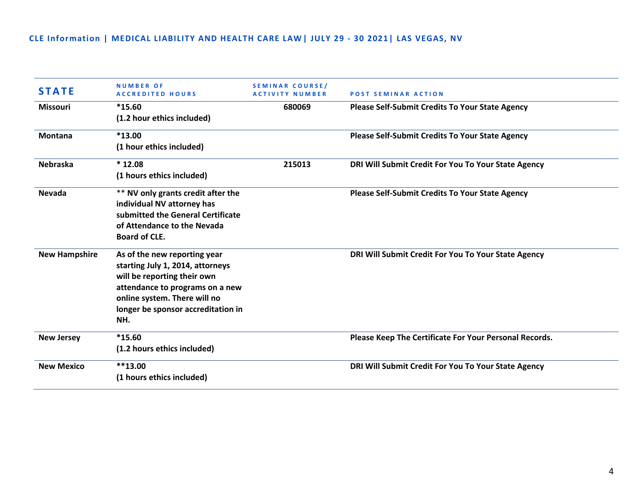| <b>STATE</b>         | <b>NUMBER OF</b><br><b>ACCREDITED HOURS</b>                                                                                                                                                                     | SEMINAR COURSE/<br><b>ACTIVITY NUMBER</b> | <b>POST SEMINAR ACTION</b>                             |
|----------------------|-----------------------------------------------------------------------------------------------------------------------------------------------------------------------------------------------------------------|-------------------------------------------|--------------------------------------------------------|
| <b>Missouri</b>      | $*15.60$<br>(1.2 hour ethics included)                                                                                                                                                                          | 680069                                    | <b>Please Self-Submit Credits To Your State Agency</b> |
| <b>Montana</b>       | $*13.00$<br>(1 hour ethics included)                                                                                                                                                                            |                                           | <b>Please Self-Submit Credits To Your State Agency</b> |
| <b>Nebraska</b>      | $*12.08$<br>(1 hours ethics included)                                                                                                                                                                           | 215013                                    | DRI Will Submit Credit For You To Your State Agency    |
| <b>Nevada</b>        | ** NV only grants credit after the<br>individual NV attorney has<br>submitted the General Certificate<br>of Attendance to the Nevada<br><b>Board of CLE.</b>                                                    |                                           | <b>Please Self-Submit Credits To Your State Agency</b> |
| <b>New Hampshire</b> | As of the new reporting year<br>starting July 1, 2014, attorneys<br>will be reporting their own<br>attendance to programs on a new<br>online system. There will no<br>longer be sponsor accreditation in<br>NH. |                                           | DRI Will Submit Credit For You To Your State Agency    |
| <b>New Jersey</b>    | $*15.60$<br>(1.2 hours ethics included)                                                                                                                                                                         |                                           | Please Keep The Certificate For Your Personal Records. |
| <b>New Mexico</b>    | $***13.00$<br>(1 hours ethics included)                                                                                                                                                                         |                                           | DRI Will Submit Credit For You To Your State Agency    |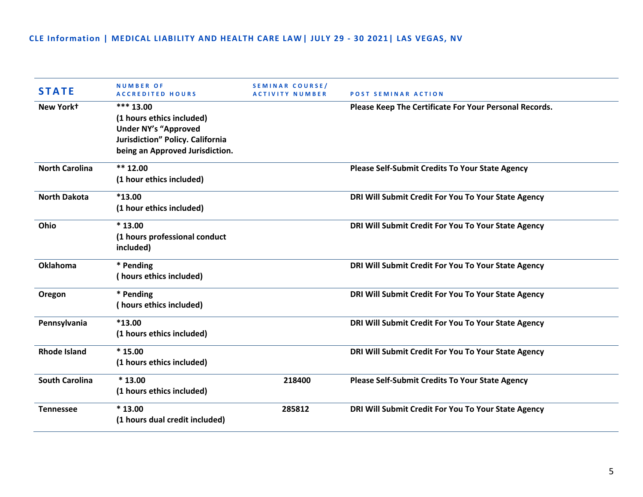| <b>STATE</b>          | <b>NUMBER OF</b><br><b>ACCREDITED HOURS</b>                                                                                                  | <b>SEMINAR COURSE/</b><br><b>ACTIVITY NUMBER</b> | <b>POST SEMINAR ACTION</b>                             |
|-----------------------|----------------------------------------------------------------------------------------------------------------------------------------------|--------------------------------------------------|--------------------------------------------------------|
| New York+             | *** 13.00<br>(1 hours ethics included)<br><b>Under NY's "Approved</b><br>Jurisdiction" Policy. California<br>being an Approved Jurisdiction. |                                                  | Please Keep The Certificate For Your Personal Records. |
| <b>North Carolina</b> | $*** 12.00$<br>(1 hour ethics included)                                                                                                      |                                                  | <b>Please Self-Submit Credits To Your State Agency</b> |
| <b>North Dakota</b>   | $*13.00$<br>(1 hour ethics included)                                                                                                         |                                                  | DRI Will Submit Credit For You To Your State Agency    |
| Ohio                  | $*13.00$<br>(1 hours professional conduct<br>included)                                                                                       |                                                  | DRI Will Submit Credit For You To Your State Agency    |
| <b>Oklahoma</b>       | * Pending<br>(hours ethics included)                                                                                                         |                                                  | DRI Will Submit Credit For You To Your State Agency    |
| Oregon                | * Pending<br>(hours ethics included)                                                                                                         |                                                  | DRI Will Submit Credit For You To Your State Agency    |
| Pennsylvania          | $*13.00$<br>(1 hours ethics included)                                                                                                        |                                                  | DRI Will Submit Credit For You To Your State Agency    |
| <b>Rhode Island</b>   | $*15.00$<br>(1 hours ethics included)                                                                                                        |                                                  | DRI Will Submit Credit For You To Your State Agency    |
| <b>South Carolina</b> | $*13.00$<br>(1 hours ethics included)                                                                                                        | 218400                                           | <b>Please Self-Submit Credits To Your State Agency</b> |
| <b>Tennessee</b>      | $*13.00$<br>(1 hours dual credit included)                                                                                                   | 285812                                           | DRI Will Submit Credit For You To Your State Agency    |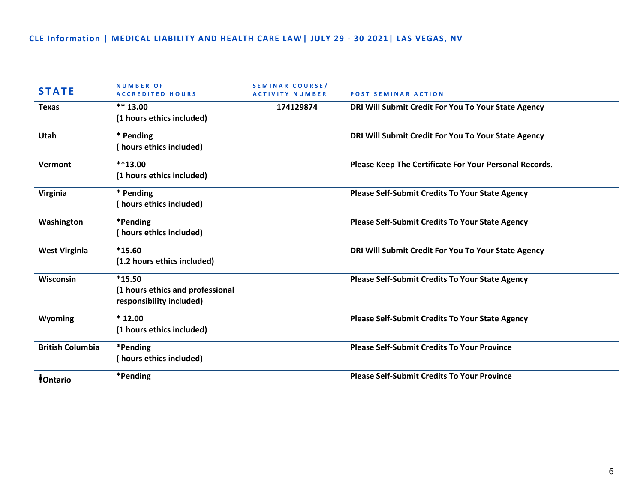| <b>STATE</b>            | <b>NUMBER OF</b><br><b>ACCREDITED HOURS</b> | <b>SEMINAR COURSE/</b><br>ACTIVITY NUMBER | <b>POST SEMINAR ACTION</b>                             |
|-------------------------|---------------------------------------------|-------------------------------------------|--------------------------------------------------------|
| <b>Texas</b>            | $** 13.00$                                  | 174129874                                 | DRI Will Submit Credit For You To Your State Agency    |
|                         | (1 hours ethics included)                   |                                           |                                                        |
| Utah                    | * Pending                                   |                                           | DRI Will Submit Credit For You To Your State Agency    |
|                         | (hours ethics included)                     |                                           |                                                        |
| Vermont                 | $**13.00$                                   |                                           | Please Keep The Certificate For Your Personal Records. |
|                         | (1 hours ethics included)                   |                                           |                                                        |
| Virginia                | * Pending                                   |                                           | <b>Please Self-Submit Credits To Your State Agency</b> |
|                         | (hours ethics included)                     |                                           |                                                        |
| Washington              | *Pending                                    |                                           | <b>Please Self-Submit Credits To Your State Agency</b> |
|                         | (hours ethics included)                     |                                           |                                                        |
| <b>West Virginia</b>    | $*15.60$                                    |                                           | DRI Will Submit Credit For You To Your State Agency    |
|                         | (1.2 hours ethics included)                 |                                           |                                                        |
| Wisconsin               | $*15.50$                                    |                                           | <b>Please Self-Submit Credits To Your State Agency</b> |
|                         | (1 hours ethics and professional            |                                           |                                                        |
|                         | responsibility included)                    |                                           |                                                        |
| Wyoming                 | $*12.00$                                    |                                           | <b>Please Self-Submit Credits To Your State Agency</b> |
|                         | (1 hours ethics included)                   |                                           |                                                        |
| <b>British Columbia</b> | *Pending                                    |                                           | <b>Please Self-Submit Credits To Your Province</b>     |
|                         | (hours ethics included)                     |                                           |                                                        |
| <b>f</b> Ontario        | *Pending                                    |                                           | <b>Please Self-Submit Credits To Your Province</b>     |